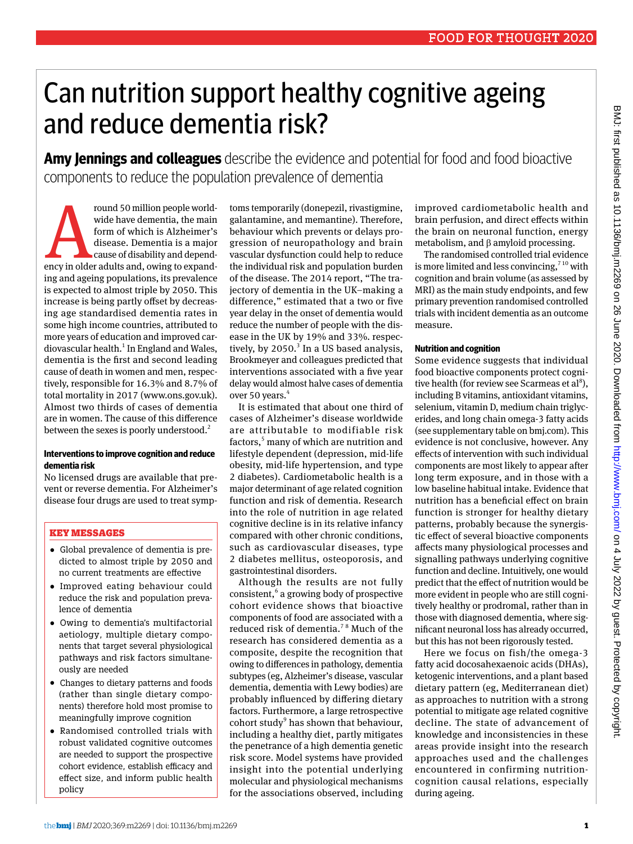# Can nutrition support healthy cognitive ageing and reduce dementia risk?

**Amy Jennings and colleagues** describe the evidence and potential for food and food bioactive components to reduce the population prevalence of dementia

From 50 million people worldwide have dementia, the main form of which is Alzheimer's disease. Dementia is a major cause of disability and dependency in older adults and, owing to expandwide have dementia, the main form of which is Alzheimer's disease. Dementia is a major cause of disability and depending and ageing populations, its prevalence is expected to almost triple by 2050. This increase is being partly offset by decreasing age standardised dementia rates in some high income countries, attributed to more years of education and improved cardiovascular health.<sup>1</sup> In England and Wales, dementia is the first and second leading cause of death in women and men, respectively, responsible for 16.3% and 8.7% of total mortality in 2017 [\(www.ons.gov.uk](http://www.ons.gov.uk)). Almost two thirds of cases of dementia are in women. The cause of this difference between the sexes is poorly understood.<sup>2</sup>

#### **Interventions to improve cognition and reduce dementia risk**

No licensed drugs are available that prevent or reverse dementia. For Alzheimer's disease four drugs are used to treat symp-

#### Key Messages

- •  Global prevalence of dementia is predicted to almost triple by 2050 and no current treatments are effective
- •  Improved eating behaviour could reduce the risk and population prevalence of dementia
- •  Owing to dementia's multifactorial aetiology, multiple dietary components that target several physiological pathways and risk factors simultaneously are needed
- •  Changes to dietary patterns and foods (rather than single dietary components) therefore hold most promise to meaningfully improve cognition
- •  Randomised controlled trials with robust validated cognitive outcomes are needed to support the prospective cohort evidence, establish efficacy and effect size, and inform public health policy

toms temporarily (donepezil, rivastigmine, galantamine, and memantine). Therefore, behaviour which prevents or delays progression of neuropathology and brain vascular dysfunction could help to reduce the individual risk and population burden of the disease. The 2014 report, "The trajectory of dementia in the UK–making a difference," estimated that a two or five year delay in the onset of dementia would reduce the number of people with the disease in the UK by 19% and 33%. respectively, by  $2050.<sup>3</sup>$  In a US based analysis, Brookmeyer and colleagues predicted that interventions associated with a five year delay would almost halve cases of dementia over 50 years.<sup>4</sup>

It is estimated that about one third of cases of Alzheimer's disease worldwide are attributable to modifiable risk factors,<sup>5</sup> many of which are nutrition and lifestyle dependent (depression, mid-life obesity, mid-life hypertension, and type 2 diabetes). Cardiometabolic health is a major determinant of age related cognition function and risk of dementia. Research into the role of nutrition in age related cognitive decline is in its relative infancy compared with other chronic conditions, such as cardiovascular diseases, type 2 diabetes mellitus, osteoporosis, and gastrointestinal disorders.

Although the results are not fully consistent,<sup>6</sup> a growing body of prospective cohort evidence shows that bioactive components of food are associated with a reduced risk of dementia.7 8 Much of the research has considered dementia as a composite, despite the recognition that owing to differences in pathology, dementia subtypes (eg, Alzheimer's disease, vascular dementia, dementia with Lewy bodies) are probably influenced by differing dietary factors. Furthermore, a large retrospective cohort study $9$  has shown that behaviour, including a healthy diet, partly mitigates the penetrance of a high dementia genetic risk score. Model systems have provided insight into the potential underlying molecular and physiological mechanisms for the associations observed, including improved cardiometabolic health and brain perfusion, and direct effects within the brain on neuronal function, energy metabolism, and β amyloid processing.

The randomised controlled trial evidence is more limited and less convincing, $7^{10}$  with cognition and brain volume (as assessed by MRI) as the main study endpoints, and few primary prevention randomised controlled trials with incident dementia as an outcome measure.

## **Nutrition and cognition**

Some evidence suggests that individual food bioactive components protect cognitive health (for review see Scarmeas et al<sup>8</sup>), including B vitamins, antioxidant vitamins, selenium, vitamin D, medium chain triglycerides, and long chain omega-3 fatty acids (see supplementary table on bmj.com). This evidence is not conclusive, however. Any effects of intervention with such individual components are most likely to appear after long term exposure, and in those with a low baseline habitual intake. Evidence that nutrition has a beneficial effect on brain function is stronger for healthy dietary patterns, probably because the synergistic effect of several bioactive components affects many physiological processes and signalling pathways underlying cognitive function and decline. Intuitively, one would predict that the effect of nutrition would be more evident in people who are still cognitively healthy or prodromal, rather than in those with diagnosed dementia, where significant neuronal loss has already occurred, but this has not been rigorously tested.

Here we focus on fish/the omega-3 fatty acid docosahexaenoic acids (DHAs), ketogenic interventions, and a plant based dietary pattern (eg, Mediterranean diet) as approaches to nutrition with a strong potential to mitigate age related cognitive decline. The state of advancement of knowledge and inconsistencies in these areas provide insight into the research approaches used and the challenges encountered in confirming nutritioncognition causal relations, especially during ageing.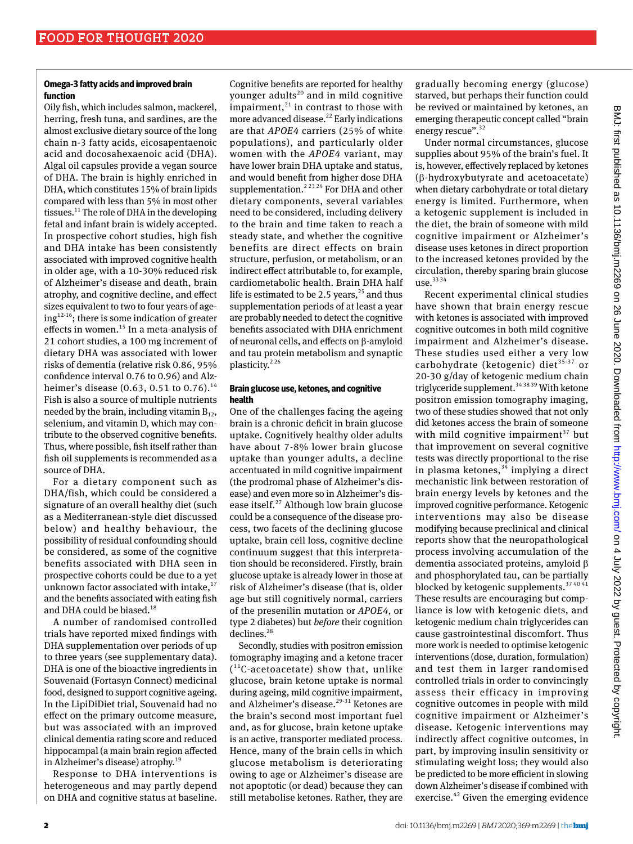## **Omega-3 fatty acids and improved brain function**

Oily fish, which includes salmon, mackerel, herring, fresh tuna, and sardines, are the almost exclusive dietary source of the long chain n-3 fatty acids, eicosapentaenoic acid and docosahexaenoic acid (DHA). Algal oil capsules provide a vegan source of DHA. The brain is highly enriched in DHA, which constitutes 15% of brain lipids compared with less than 5% in most other tissues. $^{11}$  The role of DHA in the developing fetal and infant brain is widely accepted. In prospective cohort studies, high fish and DHA intake has been consistently associated with improved cognitive health in older age, with a 10-30% reduced risk of Alzheimer's disease and death, brain atrophy, and cognitive decline, and effect sizes equivalent to two to four years of age $ing<sup>12-16</sup>$ ; there is some indication of greater effects in women.<sup>15</sup> In a meta-analysis of 21 cohort studies, a 100 mg increment of dietary DHA was associated with lower risks of dementia (relative risk 0.86, 95% confidence interval 0.76 to 0.96) and Alzheimer's disease (0.63, 0.51 to 0.76).<sup>14</sup> Fish is also a source of multiple nutrients needed by the brain, including vitamin  $B_{12}$ , selenium, and vitamin D, which may contribute to the observed cognitive benefits. Thus, where possible, fish itself rather than fish oil supplements is recommended as a source of DHA.

For a dietary component such as DHA/fish, which could be considered a signature of an overall healthy diet (such as a Mediterranean-style diet discussed below) and healthy behaviour, the possibility of residual confounding should be considered, as some of the cognitive benefits associated with DHA seen in prospective cohorts could be due to a yet unknown factor associated with intake, $^{17}$ and the benefits associated with eating fish and DHA could be biased.<sup>18</sup>

A number of randomised controlled trials have reported mixed findings with DHA supplementation over periods of up to three years (see supplementary data). DHA is one of the bioactive ingredients in Souvenaid (Fortasyn Connect) medicinal food, designed to support cognitive ageing. In the LipiDiDiet trial, Souvenaid had no effect on the primary outcome measure, but was associated with an improved clinical dementia rating score and reduced hippocampal (a main brain region affected in Alzheimer's disease) atrophy.<sup>19</sup>

Response to DHA interventions is heterogeneous and may partly depend on DHA and cognitive status at baseline. Cognitive benefits are reported for healthy younger adults<sup>20</sup> and in mild cognitive impairment, $^{21}$  in contrast to those with more advanced disease.<sup>22</sup> Early indications are that *APOE4* carriers (25% of white populations), and particularly older women with the *APOE4* variant, may have lower brain DHA uptake and status, and would benefit from higher dose DHA supplementation.<sup>2 23 24</sup> For DHA and other dietary components, several variables need to be considered, including delivery to the brain and time taken to reach a steady state, and whether the cognitive benefits are direct effects on brain structure, perfusion, or metabolism, or an indirect effect attributable to, for example, cardiometabolic health. Brain DHA half life is estimated to be 2.5 years, $^{25}$  and thus supplementation periods of at least a year are probably needed to detect the cognitive benefits associated with DHA enrichment of neuronal cells, and effects on β-amyloid and tau protein metabolism and synaptic plasticity.<sup>226</sup>

## **Brain glucose use, ketones, and cognitive health**

One of the challenges facing the ageing brain is a chronic deficit in brain glucose uptake. Cognitively healthy older adults have about 7-8% lower brain glucose uptake than younger adults, a decline accentuated in mild cognitive impairment (the prodromal phase of Alzheimer's disease) and even more so in Alzheimer's disease itself. $27$  Although low brain glucose could be a consequence of the disease process, two facets of the declining glucose uptake, brain cell loss, cognitive decline continuum suggest that this interpretation should be reconsidered. Firstly, brain glucose uptake is already lower in those at risk of Alzheimer's disease (that is, older age but still cognitively normal, carriers of the presenilin mutation or *APOE4*, or type 2 diabetes) but *before* their cognition declines.<sup>28</sup>

Secondly, studies with positron emission tomography imaging and a ketone tracer  $(^{11}C$ -acetoacetate) show that, unlike glucose, brain ketone uptake is normal during ageing, mild cognitive impairment, and Alzheimer's disease.<sup>29-31</sup> Ketones are the brain's second most important fuel and, as for glucose, brain ketone uptake is an active, transporter mediated process. Hence, many of the brain cells in which glucose metabolism is deteriorating owing to age or Alzheimer's disease are not apoptotic (or dead) because they can still metabolise ketones. Rather, they are

gradually becoming energy (glucose) starved, but perhaps their function could be revived or maintained by ketones, an emerging therapeutic concept called "brain energy rescue".<sup>32</sup>

Under normal circumstances, glucose supplies about 95% of the brain's fuel. It is, however, effectively replaced by ketones (β-hydroxybutyrate and acetoacetate) when dietary carbohydrate or total dietary energy is limited. Furthermore, when a ketogenic supplement is included in the diet, the brain of someone with mild cognitive impairment or Alzheimer's disease uses ketones in direct proportion to the increased ketones provided by the circulation, thereby sparing brain glucose use.33 34

Recent experimental clinical studies have shown that brain energy rescue with ketones is associated with improved cognitive outcomes in both mild cognitive impairment and Alzheimer's disease. These studies used either a very low carbohydrate (ketogenic) diet<sup>35-37</sup> or 20-30 g/day of ketogenic medium chain triglyceride supplement.34 38 39 With ketone positron emission tomography imaging, two of these studies showed that not only did ketones access the brain of someone with mild cognitive impairment $37$  but that improvement on several cognitive tests was directly proportional to the rise in plasma ketones,  $34$  implying a direct mechanistic link between restoration of brain energy levels by ketones and the improved cognitive performance. Ketogenic interventions may also be disease modifying because preclinical and clinical reports show that the neuropathological process involving accumulation of the dementia associated proteins, amyloid β and phosphorylated tau, can be partially blocked by ketogenic supplements.<sup>37 40 41</sup> These results are encouraging but compliance is low with ketogenic diets, and ketogenic medium chain triglycerides can cause gastrointestinal discomfort. Thus more work is needed to optimise ketogenic interventions (dose, duration, formulation) and test them in larger randomised controlled trials in order to convincingly assess their efficacy in improving cognitive outcomes in people with mild cognitive impairment or Alzheimer's disease. Ketogenic interventions may indirectly affect cognitive outcomes, in part, by improving insulin sensitivity or stimulating weight loss; they would also be predicted to be more efficient in slowing down Alzheimer's disease if combined with exercise. $42$  Given the emerging evidence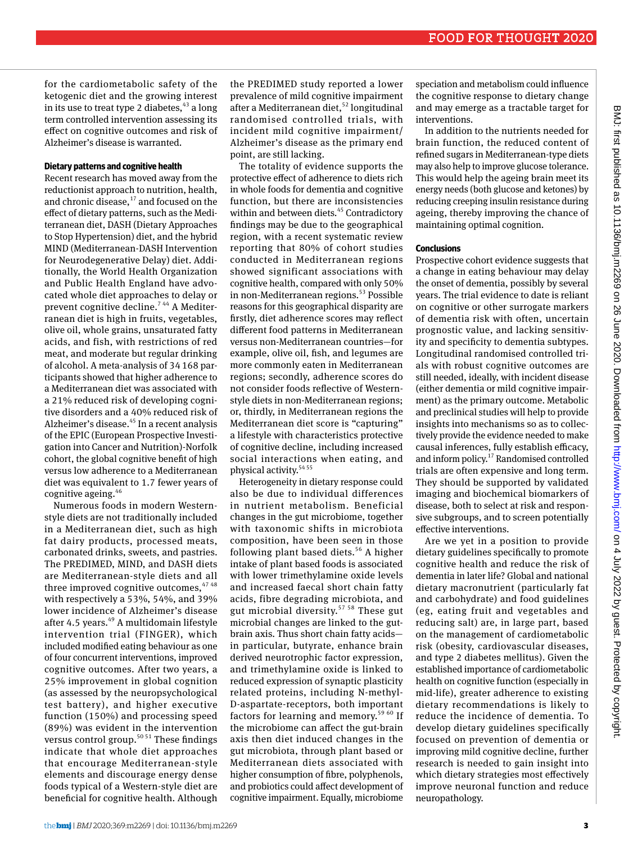for the cardiometabolic safety of the ketogenic diet and the growing interest in its use to treat type 2 diabetes,  $43$  a long term controlled intervention assessing its effect on cognitive outcomes and risk of Alzheimer's disease is warranted.

# **Dietary patterns and cognitive health**

Recent research has moved away from the reductionist approach to nutrition, health, and chronic disease, $17$  and focused on the effect of dietary patterns, such as the Mediterranean diet, DASH (Dietary Approaches to Stop Hypertension) diet, and the hybrid MIND (Mediterranean-DASH Intervention for Neurodegenerative Delay) diet. Additionally, the World Health Organization and Public Health England have advocated whole diet approaches to delay or prevent cognitive decline.<sup>744</sup> A Mediterranean diet is high in fruits, vegetables, olive oil, whole grains, unsaturated fatty acids, and fish, with restrictions of red meat, and moderate but regular drinking of alcohol. A meta-analysis of 34 168 participants showed that higher adherence to a Mediterranean diet was associated with a 21% reduced risk of developing cognitive disorders and a 40% reduced risk of Alzheimer's disease.<sup>45</sup> In a recent analysis of the EPIC (European Prospective Investigation into Cancer and Nutrition)-Norfolk cohort, the global cognitive benefit of high versus low adherence to a Mediterranean diet was equivalent to 1.7 fewer years of cognitive ageing.<sup>46</sup>

Numerous foods in modern Westernstyle diets are not traditionally included in a Mediterranean diet, such as high fat dairy products, processed meats, carbonated drinks, sweets, and pastries. The PREDIMED, MIND, and DASH diets are Mediterranean-style diets and all three improved cognitive outcomes,  $4748$ with respectively a 53%, 54%, and 39% lower incidence of Alzheimer's disease after 4.5 years.<sup>49</sup> A multidomain lifestyle intervention trial (FINGER), which included modified eating behaviour as one of four concurrent interventions, improved cognitive outcomes. After two years, a 25% improvement in global cognition (as assessed by the neuropsychological test battery), and higher executive function (150%) and processing speed (89%) was evident in the intervention versus control group.<sup>50 51</sup> These findings indicate that whole diet approaches that encourage Mediterranean-style elements and discourage energy dense foods typical of a Western-style diet are beneficial for cognitive health. Although

the PREDIMED study reported a lower prevalence of mild cognitive impairment after a Mediterranean diet,  $52$  longitudinal randomised controlled trials, with incident mild cognitive impairment/ Alzheimer's disease as the primary end point, are still lacking.

The totality of evidence supports the protective effect of adherence to diets rich in whole foods for dementia and cognitive function, but there are inconsistencies within and between diets.<sup>45</sup> Contradictory findings may be due to the geographical region, with a recent systematic review reporting that 80% of cohort studies conducted in Mediterranean regions showed significant associations with cognitive health, compared with only 50% in non-Mediterranean regions.<sup>53</sup> Possible reasons for this geographical disparity are firstly, diet adherence scores may reflect different food patterns in Mediterranean versus non-Mediterranean countries—for example, olive oil, fish, and legumes are more commonly eaten in Mediterranean regions; secondly, adherence scores do not consider foods reflective of Westernstyle diets in non-Mediterranean regions; or, thirdly, in Mediterranean regions the Mediterranean diet score is "capturing" a lifestyle with characteristics protective of cognitive decline, including increased social interactions when eating, and physical activity. $5455$ 

Heterogeneity in dietary response could also be due to individual differences in nutrient metabolism. Beneficial changes in the gut microbiome, together with taxonomic shifts in microbiota composition, have been seen in those following plant based diets.<sup>56</sup> A higher intake of plant based foods is associated with lower trimethylamine oxide levels and increased faecal short chain fatty acids, fibre degrading microbiota, and gut microbial diversity.<sup>57 58</sup> These gut microbial changes are linked to the gutbrain axis. Thus short chain fatty acids in particular, butyrate, enhance brain derived neurotrophic factor expression, and trimethylamine oxide is linked to reduced expression of synaptic plasticity related proteins, including N-methyl-D-aspartate-receptors, both important factors for learning and memory.<sup>59 60</sup> If the microbiome can affect the gut-brain axis then diet induced changes in the gut microbiota, through plant based or Mediterranean diets associated with higher consumption of fibre, polyphenols, and probiotics could affect development of cognitive impairment. Equally, microbiome speciation and metabolism could influence the cognitive response to dietary change and may emerge as a tractable target for interventions.

In addition to the nutrients needed for brain function, the reduced content of refined sugars in Mediterranean-type diets may also help to improve glucose tolerance. This would help the ageing brain meet its energy needs (both glucose and ketones) by reducing creeping insulin resistance during ageing, thereby improving the chance of maintaining optimal cognition.

#### **Conclusions**

Prospective cohort evidence suggests that a change in eating behaviour may delay the onset of dementia, possibly by several years. The trial evidence to date is reliant on cognitive or other surrogate markers of dementia risk with often, uncertain prognostic value, and lacking sensitivity and specificity to dementia subtypes. Longitudinal randomised controlled trials with robust cognitive outcomes are still needed, ideally, with incident disease (either dementia or mild cognitive impairment) as the primary outcome. Metabolic and preclinical studies will help to provide insights into mechanisms so as to collectively provide the evidence needed to make causal inferences, fully establish efficacy, and inform policy.17 Randomised controlled trials are often expensive and long term. They should be supported by validated imaging and biochemical biomarkers of disease, both to select at risk and responsive subgroups, and to screen potentially effective interventions.

Are we yet in a position to provide dietary guidelines specifically to promote cognitive health and reduce the risk of dementia in later life? Global and national dietary macronutrient (particularly fat and carbohydrate) and food guidelines (eg, eating fruit and vegetables and reducing salt) are, in large part, based on the management of cardiometabolic risk (obesity, cardiovascular diseases, and type 2 diabetes mellitus). Given the established importance of cardiometabolic health on cognitive function (especially in mid-life), greater adherence to existing dietary recommendations is likely to reduce the incidence of dementia. To develop dietary guidelines specifically focused on prevention of dementia or improving mild cognitive decline, further research is needed to gain insight into which dietary strategies most effectively improve neuronal function and reduce neuropathology.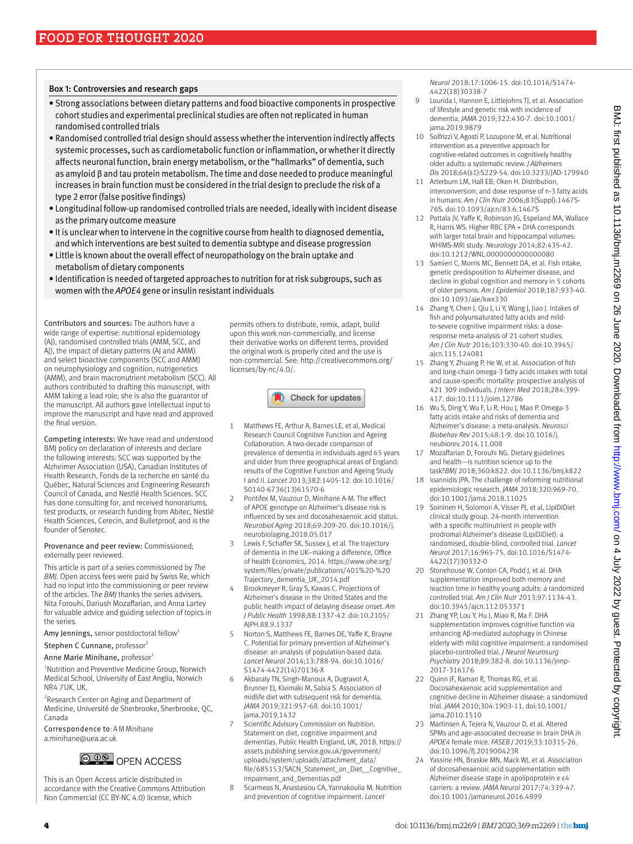#### Box 1: Controversies and research gaps

- • Strong associations between dietary patterns and food bioactive components in prospective cohort studies and experimental preclinical studies are often not replicated in human randomised controlled trials
- • Randomised controlled trial design should assess whether the intervention indirectly affects systemic processes, such as cardiometabolic function or inflammation, or whether it directly affects neuronal function, brain energy metabolism, or the "hallmarks" of dementia, such as amyloid β and tau protein metabolism. The time and dose needed to produce meaningful increases in brain function must be considered in the trial design to preclude the risk of a type 2 error (false positive findings)
- • Longitudinal follow-up randomised controlled trials are needed, ideally with incident disease as the primary outcome measure
- It is unclear when to intervene in the cognitive course from health to diagnosed dementia, and which interventions are best suited to dementia subtype and disease progression
- Little is known about the overall effect of neuropathology on the brain uptake and metabolism of dietary components
- • Identification is needed of targeted approaches to nutrition for at risk subgroups, such as women with the *APOE4* gene or insulin resistant individuals

Contributors and sources: The authors have a wide range of expertise: nutritional epidemiology (AJ), randomised controlled trials (AMM, SCC, and AJ), the impact of dietary patterns (AJ and AMM) and select bioactive components (SCC and AMM) on neurophysiology and cognition, nutrigenetics (AMM), and brain macronutrient metabolism (SCC). All authors contributed to drafting this manuscript, with AMM taking a lead role; she is also the guarantor of the manuscript. All authors gave intellectual input to improve the manuscript and have read and approved the final version.

Competing interests: We have read and understood BMJ policy on declaration of interests and declare the following interests: SCC was supported by the Alzheimer Association (USA), Canadian Institutes of Health Research, Fonds de la recherche en santé du Québec, Natural Sciences and Engineering Research Council of Canada, and Nestlé Health Sciences. SCC has done consulting for, and received honorariums, test products, or research funding from Abitec, Nestlé Health Sciences, Cerecin, and Bulletproof, and is the founder of Senotec.

Provenance and peer review: Commissioned; externally peer reviewed.

This article is part of a series commissioned by *The BMJ.* Open access fees were paid by Swiss Re, which had no input into the commissioning or peer review of the articles. T*he BMJ* thanks the series advisers, Nita Forouhi, Dariush Mozaffarian, and Anna Lartey for valuable advice and guiding selection of topics in the series.

Amy Jennings, senior postdoctoral fellow<sup>1</sup>

Stephen C Cunnane, professor<sup>2</sup>

Anne Marie Minihane, professor<sup>1</sup>

<sup>1</sup>Nutrition and Preventive Medicine Group, Norwich Medical School, University of East Anglia, Norwich NR4 7UK, UK,

<sup>2</sup> Research Center on Aging and Department of Medicine, Université de Sherbrooke, Sherbrooke, QC, Canada

Correspondence to: A M Minihane [a.minihane@uea.ac.uk](mailto:a.minihane@uea.ac.uk)



This is an Open Access article distributed in accordance with the Creative Commons Attribution Non Commercial (CC BY-NC 4.0) license, which

permits others to distribute, remix, adapt, build upon this work non-commercially, and license their derivative works on different terms, provided the original work is properly cited and the use is non-commercial. See: [http://creativecommons.org/](http://creativecommons.org/licenses/by-nc/4.0/) [licenses/by-nc/4.0/](http://creativecommons.org/licenses/by-nc/4.0/).



- 1 Matthews FE, Arthur A, Barnes LE, et al, Medical Research Council Cognitive Function and Ageing Collaboration. A two-decade comparison of prevalence of dementia in individuals aged 65 years and older from three geographical areas of England: results of the Cognitive Function and Ageing Study I and II. *Lancet* 2013;382:1405-12. doi:10.1016/ S0140-6736(13)61570-6
- Pontifex M, Vauzour D, Minihane A-M. The effect of APOE genotype on Alzheimer's disease risk is influenced by sex and docosahexaenoic acid status. *Neurobiol Aging* 2018;69:209-20. doi:10.1016/j. neurobiolaging.2018.05.017
- 3 Lewis F, Schaffer SK, Sussex J, et al. The trajectory of dementia in the UK–making a difference, Office of health Economics, 2014. [https://www.ohe.org/](https://www.ohe.org/system/files/private/publications/401%20-%20Trajectory_dementia_UK_2014.pdf) [system/files/private/publications/401%20-%20](https://www.ohe.org/system/files/private/publications/401%20-%20Trajectory_dementia_UK_2014.pdf) [Trajectory\\_dementia\\_UK\\_2014.pdf](https://www.ohe.org/system/files/private/publications/401%20-%20Trajectory_dementia_UK_2014.pdf)
- Brookmeyer R, Gray S, Kawas C. Projections of Alzheimer's disease in the United States and the public health impact of delaying disease onset. *Am J Public Health* 1998;88:1337-42. doi:10.2105/ AJPH.88.9.1337
- 5 Norton S, Matthews FE, Barnes DE, Yaffe K, Brayne C. Potential for primary prevention of Alzheimer's disease: an analysis of population-based data. *Lancet Neurol* 2014;13:788-94. doi:10.1016/ S1474-4422(14)70136-X
- 6 Akbaraly TN, Singh-Manoux A, Dugravot A, Brunner EJ, Kivimäki M, Sabia S. Association of midlife diet with subsequent risk for dementia. *JAMA* 2019;321:957-68. doi:10.1001/ jama.2019.1432
- Scientific Advisory Commission on Nutrition. Statement on diet, cognitive impairment and dementias. Public Health England, UK, 2018. [https://](https://assets.publishing.service.gov.uk/government/uploads/system/uploads/attachment_data/file/685153/SACN_Statement_on_Diet__Cognitive_Impairment_and_Dementias.pdf) [assets.publishing.service.gov.uk/government/](https://assets.publishing.service.gov.uk/government/uploads/system/uploads/attachment_data/file/685153/SACN_Statement_on_Diet__Cognitive_Impairment_and_Dementias.pdf) [uploads/system/uploads/attachment\\_data/](https://assets.publishing.service.gov.uk/government/uploads/system/uploads/attachment_data/file/685153/SACN_Statement_on_Diet__Cognitive_Impairment_and_Dementias.pdf) [file/685153/SACN\\_Statement\\_on\\_Diet\\_\\_Cognitive\\_](https://assets.publishing.service.gov.uk/government/uploads/system/uploads/attachment_data/file/685153/SACN_Statement_on_Diet__Cognitive_Impairment_and_Dementias.pdf) [Impairment\\_and\\_Dementias.pdf](https://assets.publishing.service.gov.uk/government/uploads/system/uploads/attachment_data/file/685153/SACN_Statement_on_Diet__Cognitive_Impairment_and_Dementias.pdf)
- 8 Scarmeas N, Anastasiou CA, Yannakoulia M. Nutrition and prevention of cognitive impairment. *Lancet*

*Neurol* 2018;17:1006-15. doi:10.1016/S1474- 4422(18)30338-7

- 9 Lourida I, Hannon E, Littlejohns TJ, et al. Association of lifestyle and genetic risk with incidence of dementia. *JAMA* 2019;322:430-7. doi:10.1001/ jama.2019.9879
- 10 Solfrizzi V, Agosti P, Lozupone M, et al. Nutritional intervention as a preventive approach for cognitive-related outcomes in cognitively healthy older adults: a systematic review. *J Alzheimers Dis* 2018;64(s1):S229-54. doi:10.3233/JAD-179940
- 11 Arterburn LM, Hall EB, Oken H. Distribution, interconversion, and dose response of n-3 fatty acids in humans. *Am J Clin Nutr* 2006;83(Suppl):1467S-76S. doi:10.1093/ajcn/83.6.1467S
- 12 Pottala JV, Yaffe K, Robinson JG, Espeland MA, Wallace R, Harris WS. Higher RBC EPA + DHA corresponds with larger total brain and hippocampal volumes: WHIMS-MRI study. *Neurology* 2014;82:435-42. doi:10.1212/WNL.0000000000000080
- 13 Samieri C, Morris MC, Bennett DA, et al. Fish intake, genetic predisposition to Alzheimer disease, and decline in global cognition and memory in 5 cohorts of older persons. *Am J Epidemiol* 2018;187:933-40. doi:10.1093/aje/kwx330
- 14 Zhang Y, Chen J, Qiu J, Li Y, Wang J, Jiao J. Intakes of fish and polyunsaturated fatty acids and mildto-severe cognitive impairment risks: a doseresponse meta-analysis of 21 cohort studies. *Am J Clin Nutr* 2016;103:330-40. doi:10.3945/ ajcn.115.124081
- 15 Zhang Y, Zhuang P, He W, et al. Association of fish and long-chain omega-3 fatty acids intakes with total and cause-specific mortality: prospective analysis of 421 309 individuals. *J Intern Med* 2018;284:399- 417. doi:10.1111/joim.12786
- 16 Wu S, Ding Y, Wu F, Li R, Hou J, Mao P. Omega-3 fatty acids intake and risks of dementia and Alzheimer's disease: a meta-analysis. *Neurosci Biobehav Rev* 2015;48:1-9. doi:10.1016/j. neubiorev.2014.11.008
- 17 Mozaffarian D, Forouhi NG. Dietary guidelines and health—is nutrition science up to the task?*BMJ* 2018;360:k822. doi:10.1136/bmj.k822
- 18 Ioannidis JPA. The challenge of reforming nutritional epidemiologic research. *JAMA* 2018;320:969-70. doi:10.1001/jama.2018.11025
- 19 Soininen H, Solomon A, Visser PJ, et al, LipiDiDiet clinical study group. 24-month intervention with a specific multinutrient in people with prodromal Alzheimer's disease (LipiDiDiet): a randomised, double-blind, controlled trial. *Lancet Neurol* 2017;16:965-75. doi:10.1016/S1474- 4422(17)30332-0
- 20 Stonehouse W, Conlon CA, Podd J, et al. DHA supplementation improved both memory and reaction time in healthy young adults: a randomized controlled trial. *Am J Clin Nutr* 2013;97:1134-43. doi:10.3945/ajcn.112.053371
- 21 Zhang YP, Lou Y, Hu J, Miao R, Ma F. DHA supplementation improves cognitive function via enhancing Aβ-mediated autophagy in Chinese elderly with mild cognitive impairment: a randomised placebo-controlled trial. *J Neurol Neurosurg Psychiatry* 2018;89:382-8. doi:10.1136/jnnp-2017-316176
- 22 Quinn JF, Raman R, Thomas RG, et al. Docosahexaenoic acid supplementation and cognitive decline in Alzheimer disease: a randomized trial. *JAMA* 2010;304:1903-11. doi:10.1001/ jama.2010.1510
- 23 Martinsen A, Tejera N, Vauzour D, et al. Altered SPMs and age-associated decrease in brain DHA in *APOE4* female mice. *FASEB J* 2019;33:10315-26. doi:10.1096/fj.201900423R
- 24 Yassine HN, Braskie MN, Mack WJ, et al. Association of docosahexaenoic acid supplementation with Alzheimer disease stage in apolipoprotein e ε4 carriers: a review. *JAMA Neurol* 2017;74:339-47. doi:10.1001/jamaneurol.2016.4899